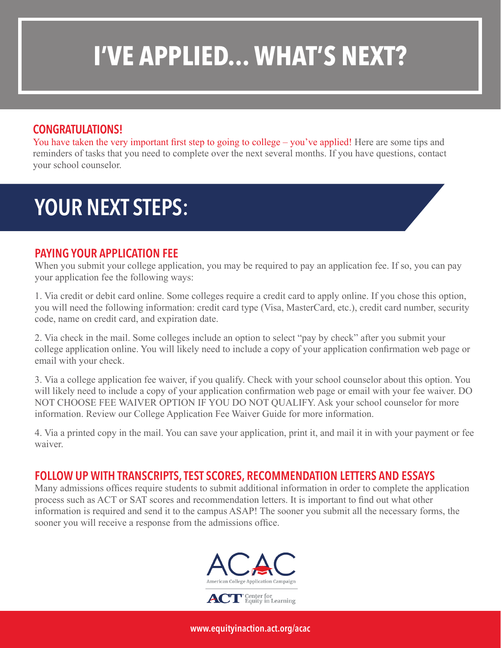# **I'VE APPLIED... WHAT'S NEXT?**

### CONGRATULATIONS!

You have taken the very important first step to going to college – you've applied! Here are some tips and reminders of tasks that you need to complete over the next several months. If you have questions, contact your school counselor.

### YOUR NEXT STEPS:

#### PAYING YOUR APPLICATION FEE

When you submit your college application, you may be required to pay an application fee. If so, you can pay your application fee the following ways:

1. Via credit or debit card online. Some colleges require a credit card to apply online. If you chose this option, you will need the following information: credit card type (Visa, MasterCard, etc.), credit card number, security code, name on credit card, and expiration date.

2. Via check in the mail. Some colleges include an option to select "pay by check" after you submit your college application online. You will likely need to include a copy of your application confirmation web page or email with your check.

3. Via a college application fee waiver, if you qualify. Check with your school counselor about this option. You will likely need to include a copy of your application confirmation web page or email with your fee waiver. DO NOT CHOOSE FEE WAIVER OPTION IF YOU DO NOT QUALIFY. Ask your school counselor for more information. Review our College Application Fee Waiver Guide for more information.

4. Via a printed copy in the mail. You can save your application, print it, and mail it in with your payment or fee waiver.

#### FOLLOW UP WITH TRANSCRIPTS, TEST SCORES, RECOMMENDATION LETTERS AND ESSAYS

Many admissions offices require students to submit additional information in order to complete the application process such as ACT or SAT scores and recommendation letters. It is important to find out what other information is required and send it to the campus ASAP! The sooner you submit all the necessary forms, the sooner you will receive a response from the admissions office.



www.equityinaction.act.org/acac